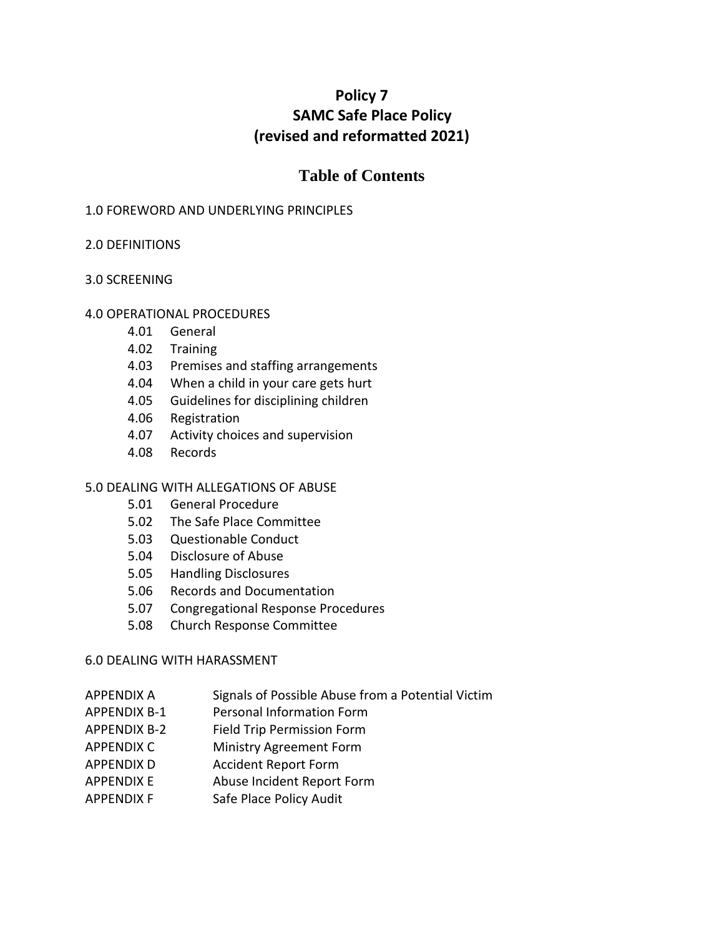# **Policy 7 SAMC Safe Place Policy (revised and reformatted 2021)**

# **Table of Contents**

### 1.0 FOREWORD AND UNDERLYING PRINCIPLES

### 2.0 DEFINITIONS

### 3.0 SCREENING

### 4.0 OPERATIONAL PROCEDURES

- 4.01 General
- 4.02 Training
- 4.03 Premises and staffing arrangements
- 4.04 When a child in your care gets hurt
- 4.05 Guidelines for disciplining children
- 4.06 Registration
- 4.07 Activity choices and supervision
- 4.08 Records

#### 5.0 DEALING WITH ALLEGATIONS OF ABUSE

- 5.01 General Procedure
- 5.02 The Safe Place Committee
- 5.03 Questionable Conduct
- 5.04 Disclosure of Abuse
- 5.05 Handling Disclosures
- 5.06 Records and Documentation
- 5.07 Congregational Response Procedures
- 5.08 Church Response Committee

#### 6.0 DEALING WITH HARASSMENT

- APPENDIX A Signals of Possible Abuse from a Potential Victim
- APPENDIX B-1 Personal Information Form
- APPENDIX B-2 Field Trip Permission Form
- APPENDIX C Ministry Agreement Form
- APPENDIX D Accident Report Form
- APPENDIX E Abuse Incident Report Form
- APPENDIX F Safe Place Policy Audit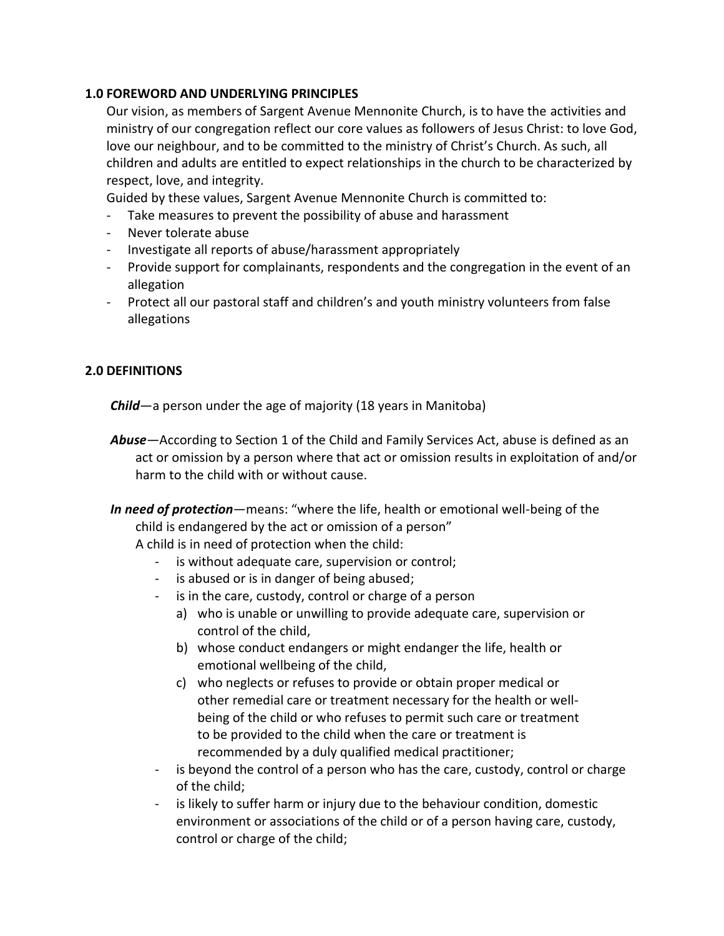### **1.0 FOREWORD AND UNDERLYING PRINCIPLES**

Our vision, as members of Sargent Avenue Mennonite Church, is to have the activities and ministry of our congregation reflect our core values as followers of Jesus Christ: to love God, love our neighbour, and to be committed to the ministry of Christ's Church. As such, all children and adults are entitled to expect relationships in the church to be characterized by respect, love, and integrity.

Guided by these values, Sargent Avenue Mennonite Church is committed to:

- Take measures to prevent the possibility of abuse and harassment
- Never tolerate abuse
- Investigate all reports of abuse/harassment appropriately
- Provide support for complainants, respondents and the congregation in the event of an allegation
- Protect all our pastoral staff and children's and youth ministry volunteers from false allegations

### **2.0 DEFINITIONS**

*Child*—a person under the age of majority (18 years in Manitoba)

- *Abuse—*According to Section 1 of the Child and Family Services Act, abuse is defined as an act or omission by a person where that act or omission results in exploitation of and/or harm to the child with or without cause.
- *In need of protection*—means: "where the life, health or emotional well-being of the child is endangered by the act or omission of a person" A child is in need of protection when the child:
	- is without adequate care, supervision or control;
	- is abused or is in danger of being abused;
	- is in the care, custody, control or charge of a person
		- a) who is unable or unwilling to provide adequate care, supervision or control of the child,
		- b) whose conduct endangers or might endanger the life, health or emotional wellbeing of the child,
		- c) who neglects or refuses to provide or obtain proper medical or other remedial care or treatment necessary for the health or wellbeing of the child or who refuses to permit such care or treatment to be provided to the child when the care or treatment is recommended by a duly qualified medical practitioner;
	- is beyond the control of a person who has the care, custody, control or charge of the child;
	- is likely to suffer harm or injury due to the behaviour condition, domestic environment or associations of the child or of a person having care, custody, control or charge of the child;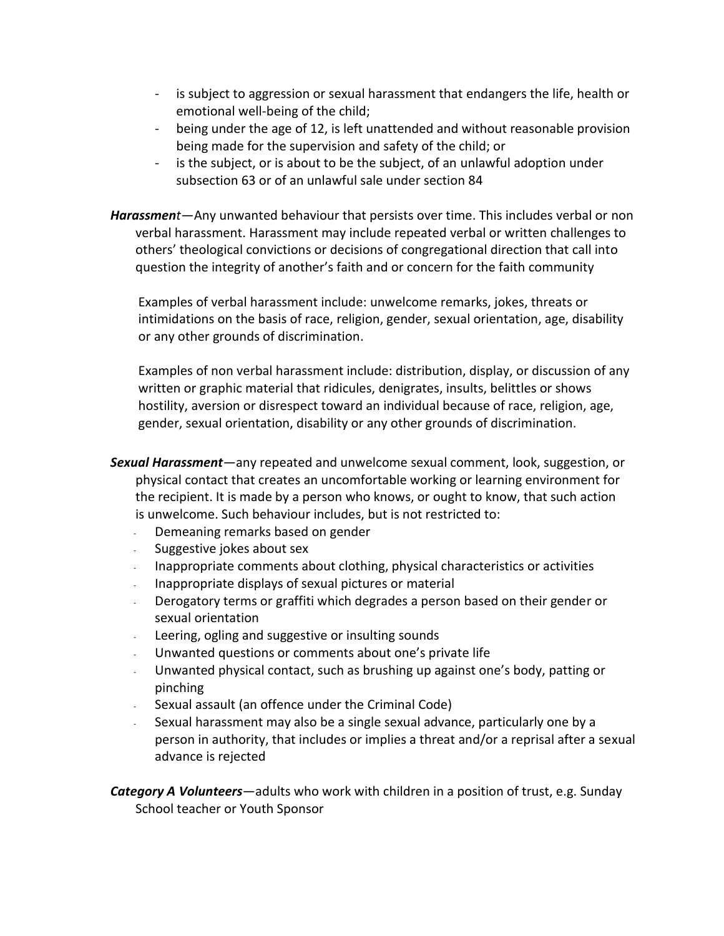- is subject to aggression or sexual harassment that endangers the life, health or emotional well-being of the child;
- being under the age of 12, is left unattended and without reasonable provision being made for the supervision and safety of the child; or
- is the subject, or is about to be the subject, of an unlawful adoption under subsection 63 or of an unlawful sale under section 84
- *Harassment*—Any unwanted behaviour that persists over time. This includes verbal or non verbal harassment. Harassment may include repeated verbal or written challenges to others' theological convictions or decisions of congregational direction that call into question the integrity of another's faith and or concern for the faith community

Examples of verbal harassment include: unwelcome remarks, jokes, threats or intimidations on the basis of race, religion, gender, sexual orientation, age, disability or any other grounds of discrimination.

Examples of non verbal harassment include: distribution, display, or discussion of any written or graphic material that ridicules, denigrates, insults, belittles or shows hostility, aversion or disrespect toward an individual because of race, religion, age, gender, sexual orientation, disability or any other grounds of discrimination.

- *Sexual Harassment—*any repeated and unwelcome sexual comment, look, suggestion, or physical contact that creates an uncomfortable working or learning environment for the recipient. It is made by a person who knows, or ought to know, that such action is unwelcome. Such behaviour includes, but is not restricted to:
	- Demeaning remarks based on gender
	- Suggestive jokes about sex
	- Inappropriate comments about clothing, physical characteristics or activities
	- Inappropriate displays of sexual pictures or material
	- Derogatory terms or graffiti which degrades a person based on their gender or sexual orientation
	- Leering, ogling and suggestive or insulting sounds
	- Unwanted questions or comments about one's private life
	- Unwanted physical contact, such as brushing up against one's body, patting or pinching
	- Sexual assault (an offence under the Criminal Code)
	- Sexual harassment may also be a single sexual advance, particularly one by a person in authority, that includes or implies a threat and/or a reprisal after a sexual advance is rejected

*Category A Volunteers*—adults who work with children in a position of trust, e.g. Sunday School teacher or Youth Sponsor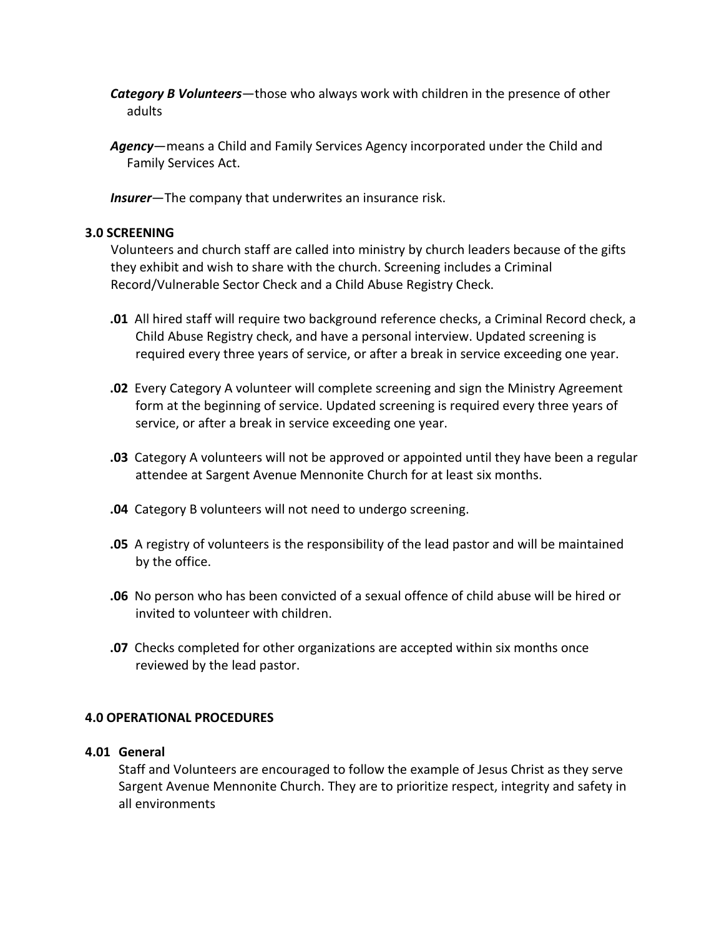- *Category B Volunteers*—those who always work with children in the presence of other adults
- *Agency*—means a Child and Family Services Agency incorporated under the Child and Family Services Act.

*Insurer*—The company that underwrites an insurance risk.

#### **3.0 SCREENING**

Volunteers and church staff are called into ministry by church leaders because of the gifts they exhibit and wish to share with the church. Screening includes a Criminal Record/Vulnerable Sector Check and a Child Abuse Registry Check.

- **.01** All hired staff will require two background reference checks, a Criminal Record check, a Child Abuse Registry check, and have a personal interview. Updated screening is required every three years of service, or after a break in service exceeding one year.
- **.02** Every Category A volunteer will complete screening and sign the Ministry Agreement form at the beginning of service. Updated screening is required every three years of service, or after a break in service exceeding one year.
- **.03** Category A volunteers will not be approved or appointed until they have been a regular attendee at Sargent Avenue Mennonite Church for at least six months.
- **.04** Category B volunteers will not need to undergo screening.
- **.05** A registry of volunteers is the responsibility of the lead pastor and will be maintained by the office.
- **.06** No person who has been convicted of a sexual offence of child abuse will be hired or invited to volunteer with children.
- **.07** Checks completed for other organizations are accepted within six months once reviewed by the lead pastor.

#### **4.0 OPERATIONAL PROCEDURES**

#### **4.01 General**

Staff and Volunteers are encouraged to follow the example of Jesus Christ as they serve Sargent Avenue Mennonite Church. They are to prioritize respect, integrity and safety in all environments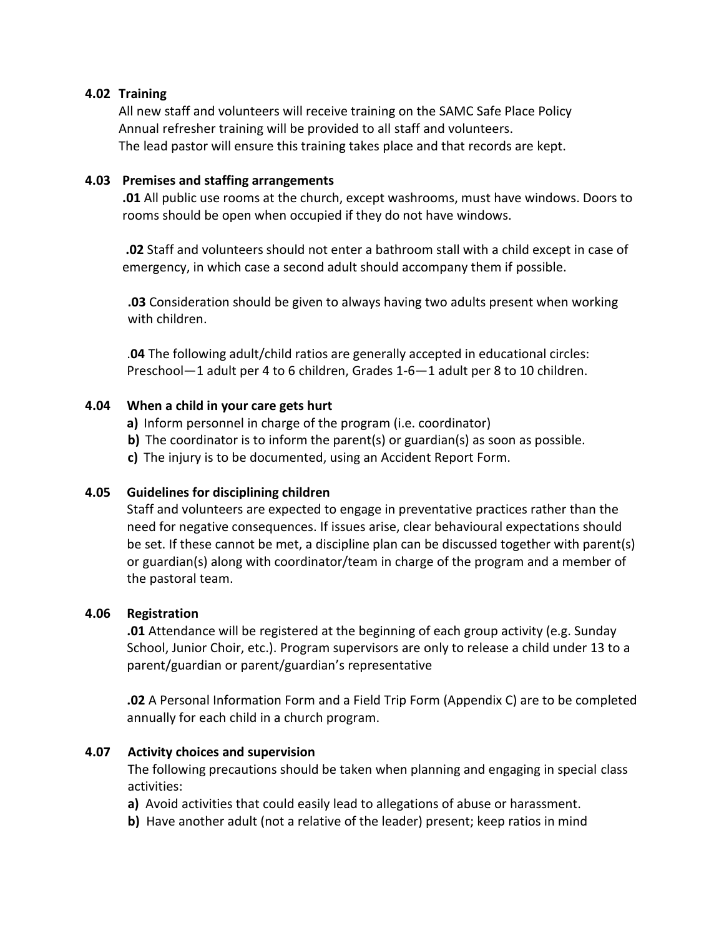#### **4.02 Training**

All new staff and volunteers will receive training on the SAMC Safe Place Policy Annual refresher training will be provided to all staff and volunteers. The lead pastor will ensure this training takes place and that records are kept.

#### **4.03 Premises and staffing arrangements**

**.01** All public use rooms at the church, except washrooms, must have windows. Doors to rooms should be open when occupied if they do not have windows.

**.02** Staff and volunteers should not enter a bathroom stall with a child except in case of emergency, in which case a second adult should accompany them if possible.

**.03** Consideration should be given to always having two adults present when working with children.

.**04** The following adult/child ratios are generally accepted in educational circles: Preschool—1 adult per 4 to 6 children, Grades 1-6—1 adult per 8 to 10 children.

### **4.04 When a child in your care gets hurt**

- **a)** Inform personnel in charge of the program (i.e. coordinator)
- **b)** The coordinator is to inform the parent(s) or guardian(s) as soon as possible.
- **c)** The injury is to be documented, using an Accident Report Form.

#### **4.05 Guidelines for disciplining children**

Staff and volunteers are expected to engage in preventative practices rather than the need for negative consequences. If issues arise, clear behavioural expectations should be set. If these cannot be met, a discipline plan can be discussed together with parent(s) or guardian(s) along with coordinator/team in charge of the program and a member of the pastoral team.

#### **4.06 Registration**

**.01** Attendance will be registered at the beginning of each group activity (e.g. Sunday School, Junior Choir, etc.). Program supervisors are only to release a child under 13 to a parent/guardian or parent/guardian's representative

**.02** A Personal Information Form and a Field Trip Form (Appendix C) are to be completed annually for each child in a church program.

#### **4.07 Activity choices and supervision**

The following precautions should be taken when planning and engaging in special class activities:

- **a)** Avoid activities that could easily lead to allegations of abuse or harassment.
- **b)** Have another adult (not a relative of the leader) present; keep ratios in mind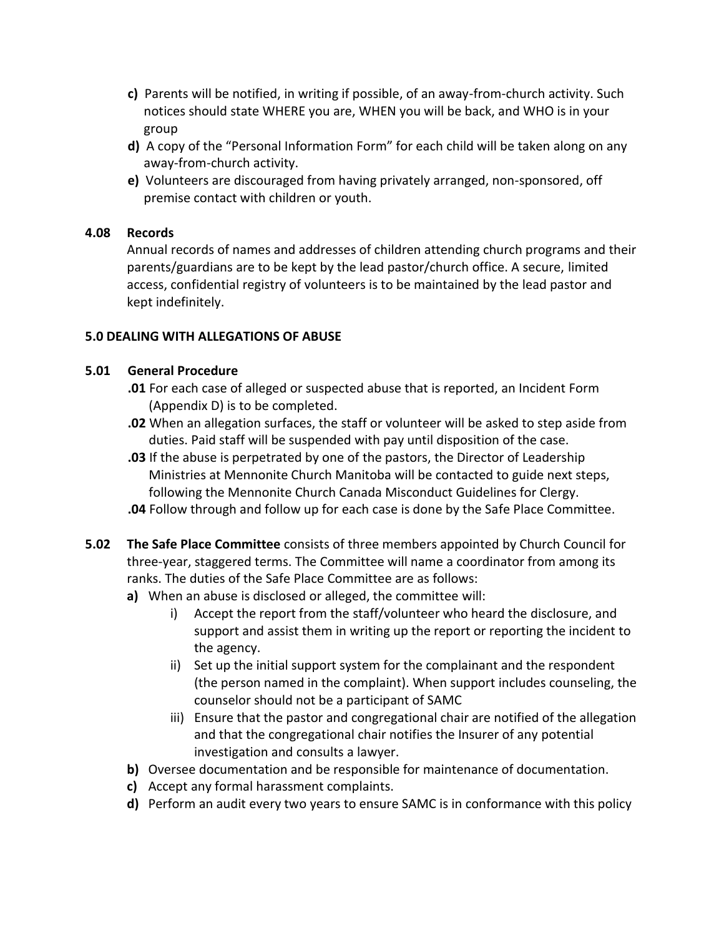- **c)** Parents will be notified, in writing if possible, of an away-from-church activity. Such notices should state WHERE you are, WHEN you will be back, and WHO is in your group
- **d)** A copy of the "Personal Information Form" for each child will be taken along on any away-from-church activity.
- **e)** Volunteers are discouraged from having privately arranged, non-sponsored, off premise contact with children or youth.

### **4.08 Records**

Annual records of names and addresses of children attending church programs and their parents/guardians are to be kept by the lead pastor/church office. A secure, limited access, confidential registry of volunteers is to be maintained by the lead pastor and kept indefinitely.

### **5.0 DEALING WITH ALLEGATIONS OF ABUSE**

#### **5.01 General Procedure**

- **.01** For each case of alleged or suspected abuse that is reported, an Incident Form (Appendix D) is to be completed.
- **.02** When an allegation surfaces, the staff or volunteer will be asked to step aside from duties. Paid staff will be suspended with pay until disposition of the case.
- **.03** If the abuse is perpetrated by one of the pastors, the Director of Leadership Ministries at Mennonite Church Manitoba will be contacted to guide next steps, following the Mennonite Church Canada Misconduct Guidelines for Clergy.
- **.04** Follow through and follow up for each case is done by the Safe Place Committee.
- **5.02 The Safe Place Committee** consists of three members appointed by Church Council for three-year, staggered terms. The Committee will name a coordinator from among its ranks. The duties of the Safe Place Committee are as follows:
	- **a)** When an abuse is disclosed or alleged, the committee will:
		- i) Accept the report from the staff/volunteer who heard the disclosure, and support and assist them in writing up the report or reporting the incident to the agency.
		- ii) Set up the initial support system for the complainant and the respondent (the person named in the complaint). When support includes counseling, the counselor should not be a participant of SAMC
		- iii) Ensure that the pastor and congregational chair are notified of the allegation and that the congregational chair notifies the Insurer of any potential investigation and consults a lawyer.
	- **b)** Oversee documentation and be responsible for maintenance of documentation.
	- **c)** Accept any formal harassment complaints.
	- **d)** Perform an audit every two years to ensure SAMC is in conformance with this policy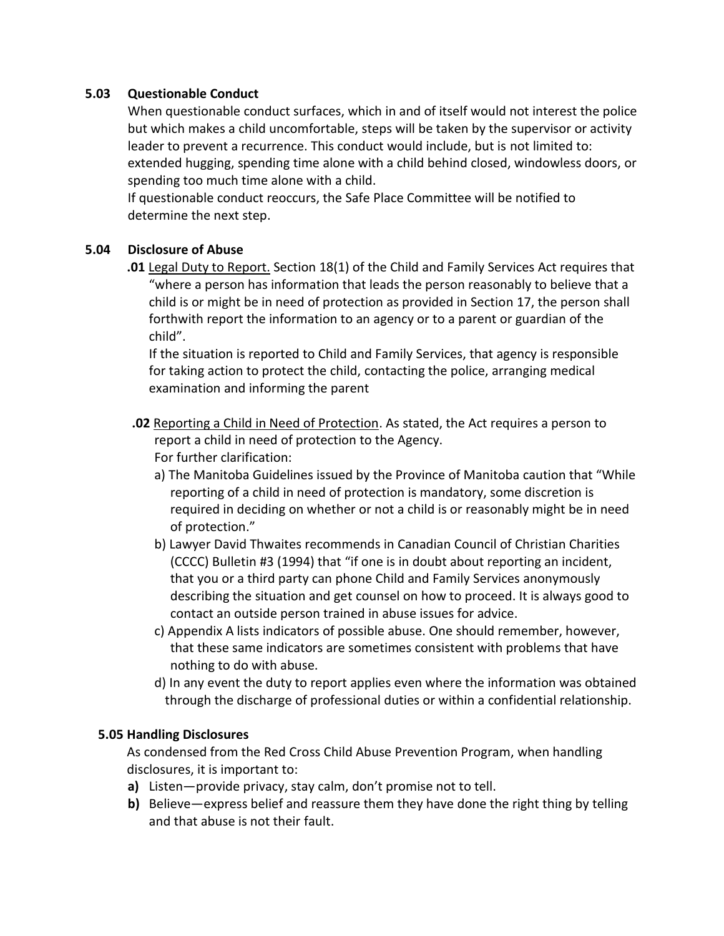#### **5.03 Questionable Conduct**

When questionable conduct surfaces, which in and of itself would not interest the police but which makes a child uncomfortable, steps will be taken by the supervisor or activity leader to prevent a recurrence. This conduct would include, but is not limited to: extended hugging, spending time alone with a child behind closed, windowless doors, or spending too much time alone with a child.

If questionable conduct reoccurs, the Safe Place Committee will be notified to determine the next step.

### **5.04 Disclosure of Abuse**

**.01** Legal Duty to Report. Section 18(1) of the Child and Family Services Act requires that "where a person has information that leads the person reasonably to believe that a child is or might be in need of protection as provided in Section 17, the person shall forthwith report the information to an agency or to a parent or guardian of the child".

If the situation is reported to Child and Family Services, that agency is responsible for taking action to protect the child, contacting the police, arranging medical examination and informing the parent

- **.02** Reporting a Child in Need of Protection. As stated, the Act requires a person to report a child in need of protection to the Agency. For further clarification:
	- a) The Manitoba Guidelines issued by the Province of Manitoba caution that "While reporting of a child in need of protection is mandatory, some discretion is required in deciding on whether or not a child is or reasonably might be in need of protection."
	- b) Lawyer David Thwaites recommends in Canadian Council of Christian Charities (CCCC) Bulletin #3 (1994) that "if one is in doubt about reporting an incident, that you or a third party can phone Child and Family Services anonymously describing the situation and get counsel on how to proceed. It is always good to contact an outside person trained in abuse issues for advice.
	- c) Appendix A lists indicators of possible abuse. One should remember, however, that these same indicators are sometimes consistent with problems that have nothing to do with abuse.
	- d) In any event the duty to report applies even where the information was obtained through the discharge of professional duties or within a confidential relationship.

#### **5.05 Handling Disclosures**

As condensed from the Red Cross Child Abuse Prevention Program, when handling disclosures, it is important to:

- **a)** Listen—provide privacy, stay calm, don't promise not to tell.
- **b)** Believe—express belief and reassure them they have done the right thing by telling and that abuse is not their fault.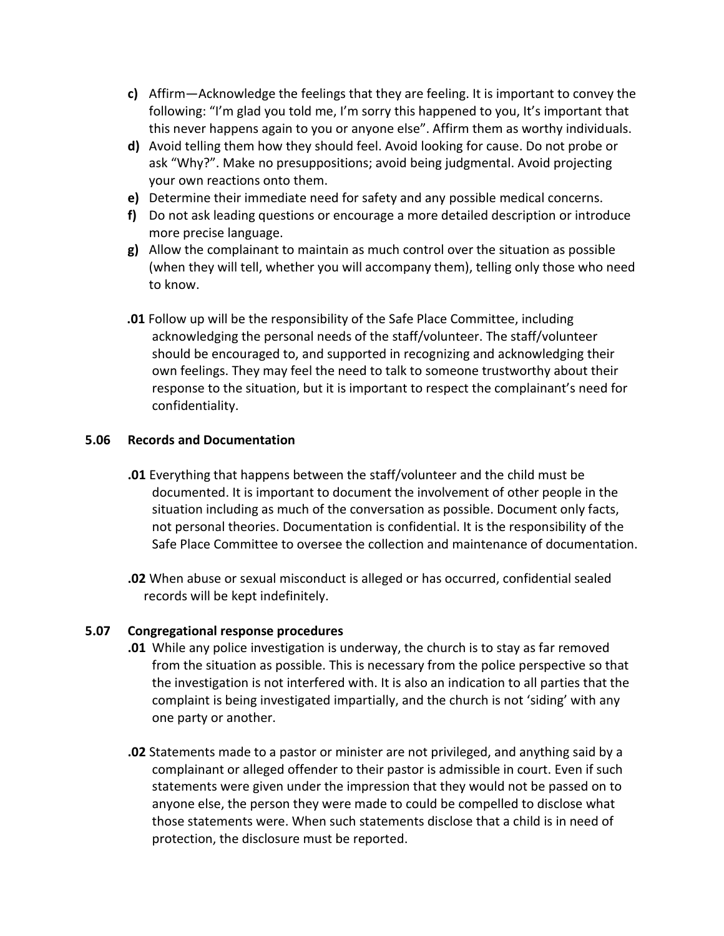- **c)** Affirm—Acknowledge the feelings that they are feeling. It is important to convey the following: "I'm glad you told me, I'm sorry this happened to you, It's important that this never happens again to you or anyone else". Affirm them as worthy individuals.
- **d)** Avoid telling them how they should feel. Avoid looking for cause. Do not probe or ask "Why?". Make no presuppositions; avoid being judgmental. Avoid projecting your own reactions onto them.
- **e)** Determine their immediate need for safety and any possible medical concerns.
- **f)** Do not ask leading questions or encourage a more detailed description or introduce more precise language.
- **g)** Allow the complainant to maintain as much control over the situation as possible (when they will tell, whether you will accompany them), telling only those who need to know.
- **.01** Follow up will be the responsibility of the Safe Place Committee, including acknowledging the personal needs of the staff/volunteer. The staff/volunteer should be encouraged to, and supported in recognizing and acknowledging their own feelings. They may feel the need to talk to someone trustworthy about their response to the situation, but it is important to respect the complainant's need for confidentiality.

#### **5.06 Records and Documentation**

- **.01** Everything that happens between the staff/volunteer and the child must be documented. It is important to document the involvement of other people in the situation including as much of the conversation as possible. Document only facts, not personal theories. Documentation is confidential. It is the responsibility of the Safe Place Committee to oversee the collection and maintenance of documentation.
- **.02** When abuse or sexual misconduct is alleged or has occurred, confidential sealed records will be kept indefinitely.

#### **5.07 Congregational response procedures**

- **.01** While any police investigation is underway, the church is to stay as far removed from the situation as possible. This is necessary from the police perspective so that the investigation is not interfered with. It is also an indication to all parties that the complaint is being investigated impartially, and the church is not 'siding' with any one party or another.
- **.02** Statements made to a pastor or minister are not privileged, and anything said by a complainant or alleged offender to their pastor is admissible in court. Even if such statements were given under the impression that they would not be passed on to anyone else, the person they were made to could be compelled to disclose what those statements were. When such statements disclose that a child is in need of protection, the disclosure must be reported.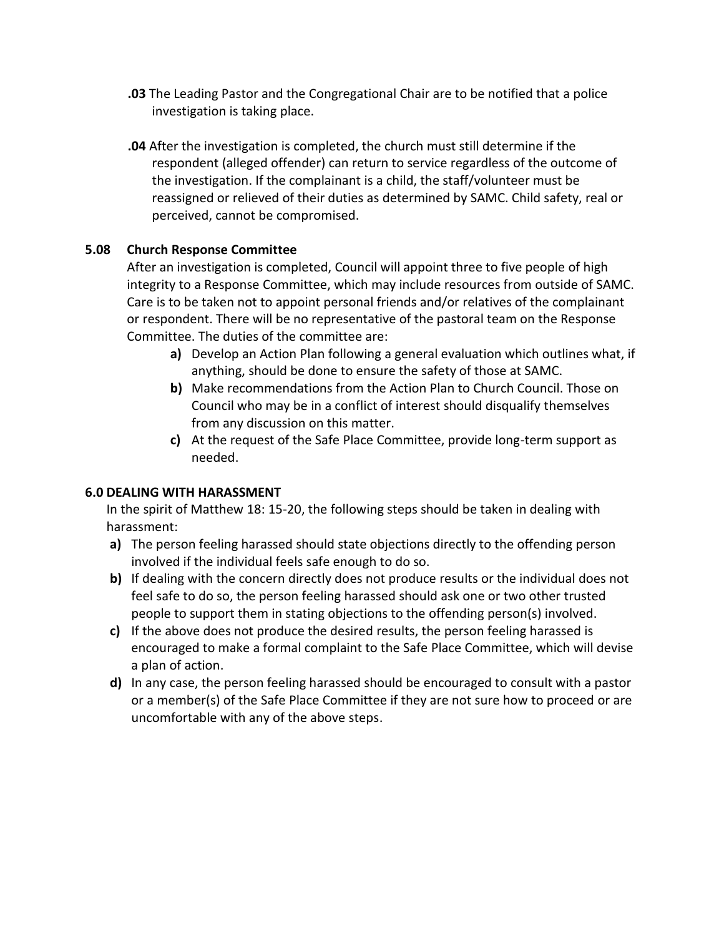- **.03** The Leading Pastor and the Congregational Chair are to be notified that a police investigation is taking place.
- **.04** After the investigation is completed, the church must still determine if the respondent (alleged offender) can return to service regardless of the outcome of the investigation. If the complainant is a child, the staff/volunteer must be reassigned or relieved of their duties as determined by SAMC. Child safety, real or perceived, cannot be compromised.

### **5.08 Church Response Committee**

After an investigation is completed, Council will appoint three to five people of high integrity to a Response Committee, which may include resources from outside of SAMC. Care is to be taken not to appoint personal friends and/or relatives of the complainant or respondent. There will be no representative of the pastoral team on the Response Committee. The duties of the committee are:

- **a)** Develop an Action Plan following a general evaluation which outlines what, if anything, should be done to ensure the safety of those at SAMC.
- **b)** Make recommendations from the Action Plan to Church Council. Those on Council who may be in a conflict of interest should disqualify themselves from any discussion on this matter.
- **c)** At the request of the Safe Place Committee, provide long-term support as needed.

#### **6.0 DEALING WITH HARASSMENT**

In the spirit of Matthew 18: 15-20, the following steps should be taken in dealing with harassment:

- **a)** The person feeling harassed should state objections directly to the offending person involved if the individual feels safe enough to do so.
- **b)** If dealing with the concern directly does not produce results or the individual does not feel safe to do so, the person feeling harassed should ask one or two other trusted people to support them in stating objections to the offending person(s) involved.
- **c)** If the above does not produce the desired results, the person feeling harassed is encouraged to make a formal complaint to the Safe Place Committee, which will devise a plan of action.
- **d)** In any case, the person feeling harassed should be encouraged to consult with a pastor or a member(s) of the Safe Place Committee if they are not sure how to proceed or are uncomfortable with any of the above steps.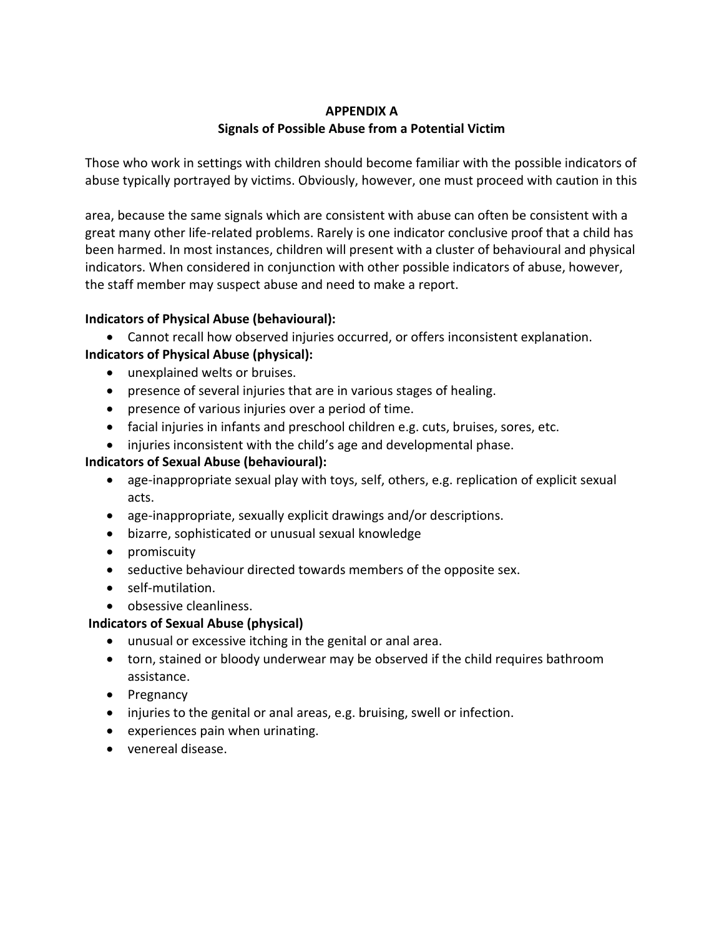### **APPENDIX A Signals of Possible Abuse from a Potential Victim**

Those who work in settings with children should become familiar with the possible indicators of abuse typically portrayed by victims. Obviously, however, one must proceed with caution in this

area, because the same signals which are consistent with abuse can often be consistent with a great many other life-related problems. Rarely is one indicator conclusive proof that a child has been harmed. In most instances, children will present with a cluster of behavioural and physical indicators. When considered in conjunction with other possible indicators of abuse, however, the staff member may suspect abuse and need to make a report.

# **Indicators of Physical Abuse (behavioural):**

• Cannot recall how observed injuries occurred, or offers inconsistent explanation. **Indicators of Physical Abuse (physical):**

- unexplained welts or bruises.
- presence of several injuries that are in various stages of healing.
- presence of various injuries over a period of time.
- facial injuries in infants and preschool children e.g. cuts, bruises, sores, etc.
- injuries inconsistent with the child's age and developmental phase.

### **Indicators of Sexual Abuse (behavioural):**

- age-inappropriate sexual play with toys, self, others, e.g. replication of explicit sexual acts.
- age-inappropriate, sexually explicit drawings and/or descriptions.
- bizarre, sophisticated or unusual sexual knowledge
- promiscuity
- seductive behaviour directed towards members of the opposite sex.
- self-mutilation.
- obsessive cleanliness.

### **Indicators of Sexual Abuse (physical)**

- unusual or excessive itching in the genital or anal area.
- torn, stained or bloody underwear may be observed if the child requires bathroom assistance.
- Pregnancy
- injuries to the genital or anal areas, e.g. bruising, swell or infection.
- experiences pain when urinating.
- venereal disease.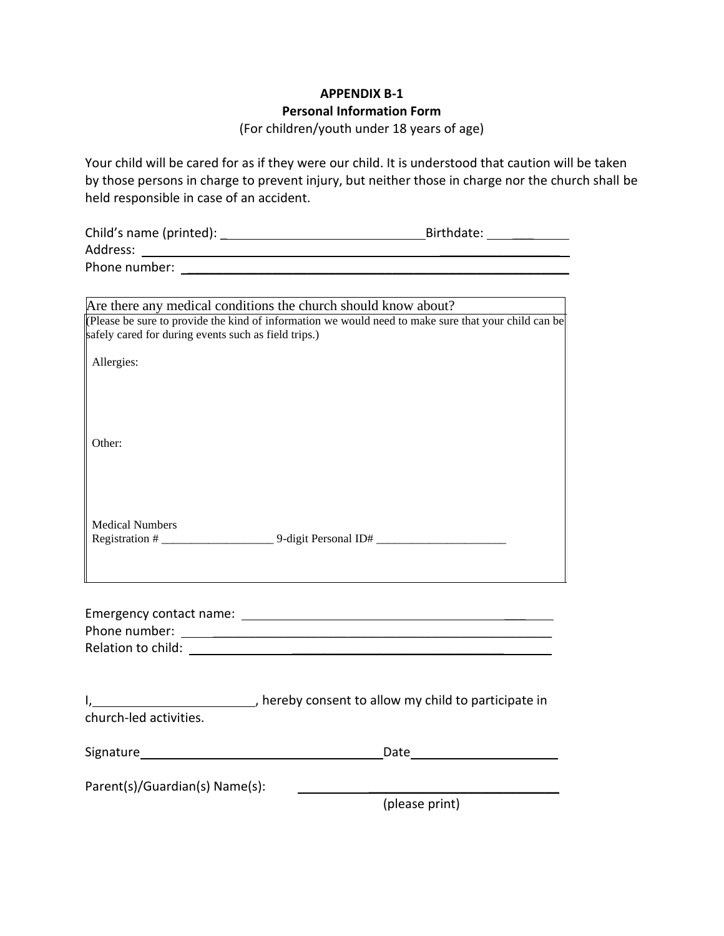# **APPENDIX B-1 Personal Information Form** (For children/youth under 18 years of age)

Your child will be cared for as if they were our child. It is understood that caution will be taken by those persons in charge to prevent injury, but neither those in charge nor the church shall be held responsible in case of an accident.

| Child's name (printed): | Birthdate: |
|-------------------------|------------|
| Address:                |            |
| Phone number:           |            |

| Are there any medical conditions the church should know about?                                      |
|-----------------------------------------------------------------------------------------------------|
| Please be sure to provide the kind of information we would need to make sure that your child can be |
| safely cared for during events such as field trips.)                                                |
|                                                                                                     |
| Allergies:                                                                                          |
|                                                                                                     |
|                                                                                                     |
|                                                                                                     |
|                                                                                                     |
| Other:                                                                                              |
|                                                                                                     |
|                                                                                                     |
|                                                                                                     |
|                                                                                                     |
|                                                                                                     |
| <b>Medical Numbers</b>                                                                              |
| 9-digit Personal ID#                                                                                |
|                                                                                                     |
|                                                                                                     |

| Emergency contact name: |  |
|-------------------------|--|
| Phone number:           |  |
| Relation to child:      |  |

| church-led activities.         | hereby consent to allow my child to participate in |  |  |
|--------------------------------|----------------------------------------------------|--|--|
| Signature                      | Date                                               |  |  |
| Parent(s)/Guardian(s) Name(s): |                                                    |  |  |
|                                | (please print)                                     |  |  |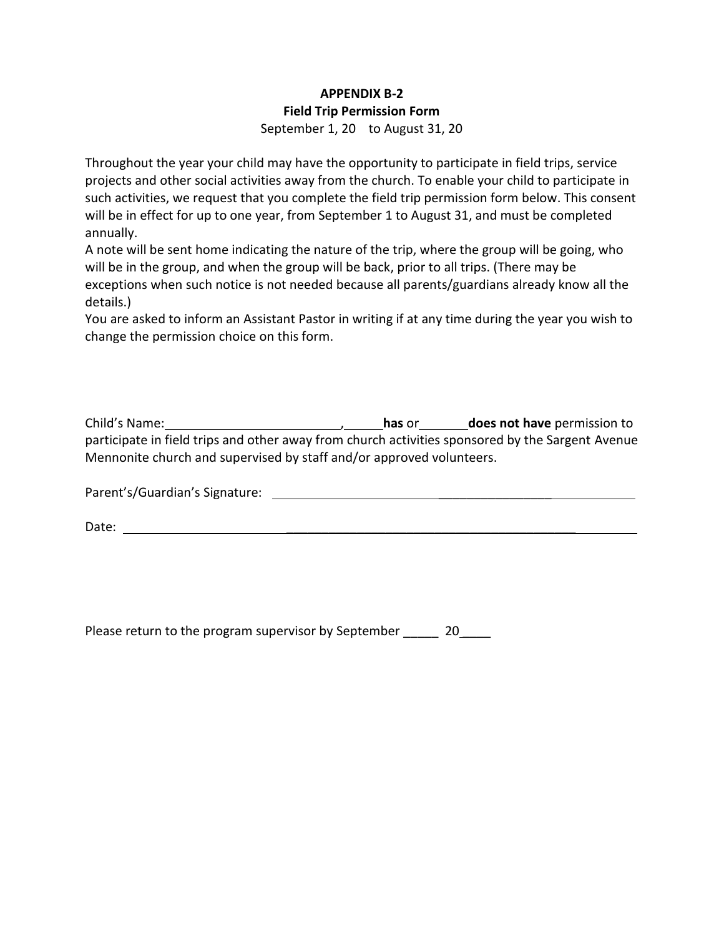### **APPENDIX B-2 Field Trip Permission Form** September 1, 20 to August 31, 20

Throughout the year your child may have the opportunity to participate in field trips, service projects and other social activities away from the church. To enable your child to participate in such activities, we request that you complete the field trip permission form below. This consent will be in effect for up to one year, from September 1 to August 31, and must be completed annually.

A note will be sent home indicating the nature of the trip, where the group will be going, who will be in the group, and when the group will be back, prior to all trips. (There may be exceptions when such notice is not needed because all parents/guardians already know all the details.)

You are asked to inform an Assistant Pastor in writing if at any time during the year you wish to change the permission choice on this form.

| Child's Name:                                                                                    | has or | does not have permission to |
|--------------------------------------------------------------------------------------------------|--------|-----------------------------|
| participate in field trips and other away from church activities sponsored by the Sargent Avenue |        |                             |
| Mennonite church and supervised by staff and/or approved volunteers.                             |        |                             |

Parent's/Guardian's Signature: \_\_\_\_\_\_\_\_\_\_\_\_\_\_\_\_

Date:  $\Box$ 

Please return to the program supervisor by September \_\_\_\_\_ 20\_\_\_\_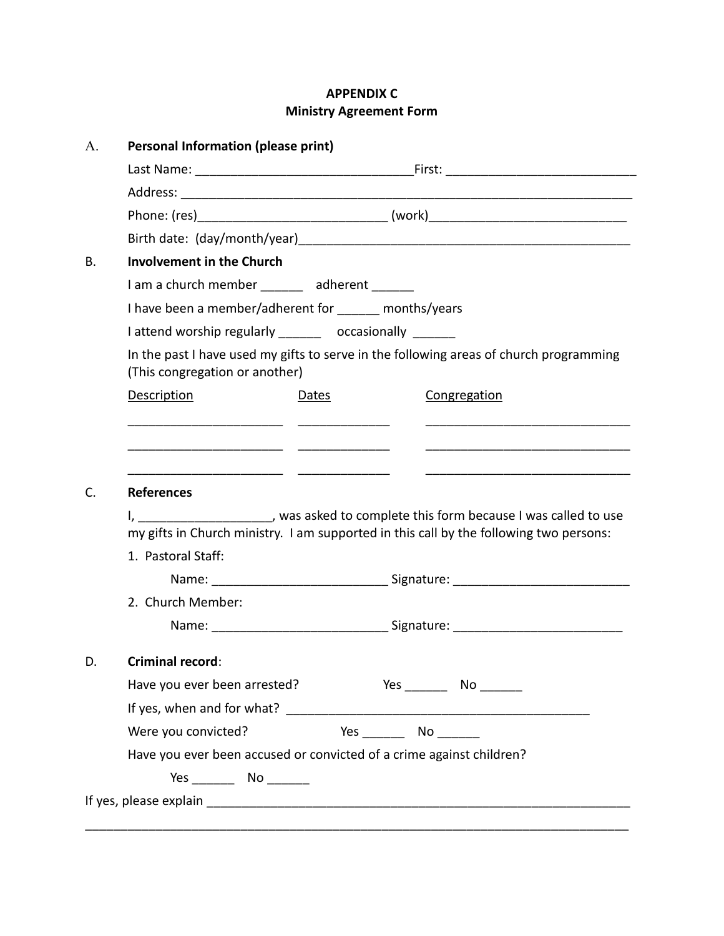# **APPENDIX C Ministry Agreement Form**

| А. | <b>Personal Information (please print)</b>                                                                               |  |  |  |
|----|--------------------------------------------------------------------------------------------------------------------------|--|--|--|
|    |                                                                                                                          |  |  |  |
|    |                                                                                                                          |  |  |  |
|    |                                                                                                                          |  |  |  |
|    |                                                                                                                          |  |  |  |
| В. | <b>Involvement in the Church</b>                                                                                         |  |  |  |
|    | I am a church member _______ adherent ______                                                                             |  |  |  |
|    | I have been a member/adherent for months/years                                                                           |  |  |  |
|    | I attend worship regularly _______ occasionally ______                                                                   |  |  |  |
|    | In the past I have used my gifts to serve in the following areas of church programming<br>(This congregation or another) |  |  |  |
|    | <b>Description</b><br>Congregation<br>Dates                                                                              |  |  |  |
|    |                                                                                                                          |  |  |  |
|    |                                                                                                                          |  |  |  |
|    | <u> 1989 - Johann Harry Harry Harry Harry Harry Harry Harry Harry Harry Harry Harry Harry Harry Harry Harry Harry</u>    |  |  |  |
| C. | <b>References</b>                                                                                                        |  |  |  |
|    | I, ____________________, was asked to complete this form because I was called to use                                     |  |  |  |
|    | my gifts in Church ministry. I am supported in this call by the following two persons:                                   |  |  |  |
|    | 1. Pastoral Staff:                                                                                                       |  |  |  |
|    |                                                                                                                          |  |  |  |
|    | 2. Church Member:                                                                                                        |  |  |  |
|    | Name: ___________________________________Signature: ____________________________                                         |  |  |  |
| D. | <b>Criminal record:</b>                                                                                                  |  |  |  |
|    | Have you ever been arrested?                                                                                             |  |  |  |
|    |                                                                                                                          |  |  |  |
|    | Were you convicted?<br>Yes __________ No _________                                                                       |  |  |  |
|    | Have you ever been accused or convicted of a crime against children?                                                     |  |  |  |
|    |                                                                                                                          |  |  |  |
|    |                                                                                                                          |  |  |  |
|    |                                                                                                                          |  |  |  |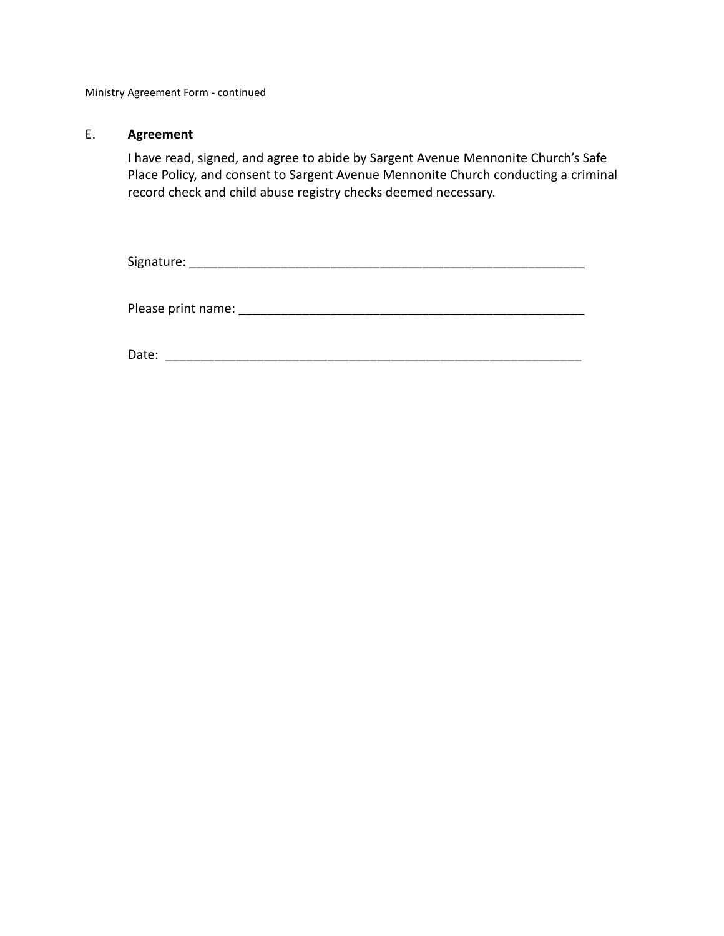Ministry Agreement Form - continued

#### E. **Agreement**

I have read, signed, and agree to abide by Sargent Avenue Mennonite Church's Safe Place Policy, and consent to Sargent Avenue Mennonite Church conducting a criminal record check and child abuse registry checks deemed necessary.

Signature: \_\_\_\_\_\_\_\_\_\_\_\_\_\_\_\_\_\_\_\_\_\_\_\_\_\_\_\_\_\_\_\_\_\_\_\_\_\_\_\_\_\_\_\_\_\_\_\_\_\_\_\_\_\_\_\_

Please print name: \_\_\_\_\_\_\_\_\_\_\_\_\_\_\_\_\_\_\_\_\_\_\_\_\_\_\_\_\_\_\_\_\_\_\_\_\_\_\_\_\_\_\_\_\_\_\_\_\_

Date: \_\_\_\_\_\_\_\_\_\_\_\_\_\_\_\_\_\_\_\_\_\_\_\_\_\_\_\_\_\_\_\_\_\_\_\_\_\_\_\_\_\_\_\_\_\_\_\_\_\_\_\_\_\_\_\_\_\_\_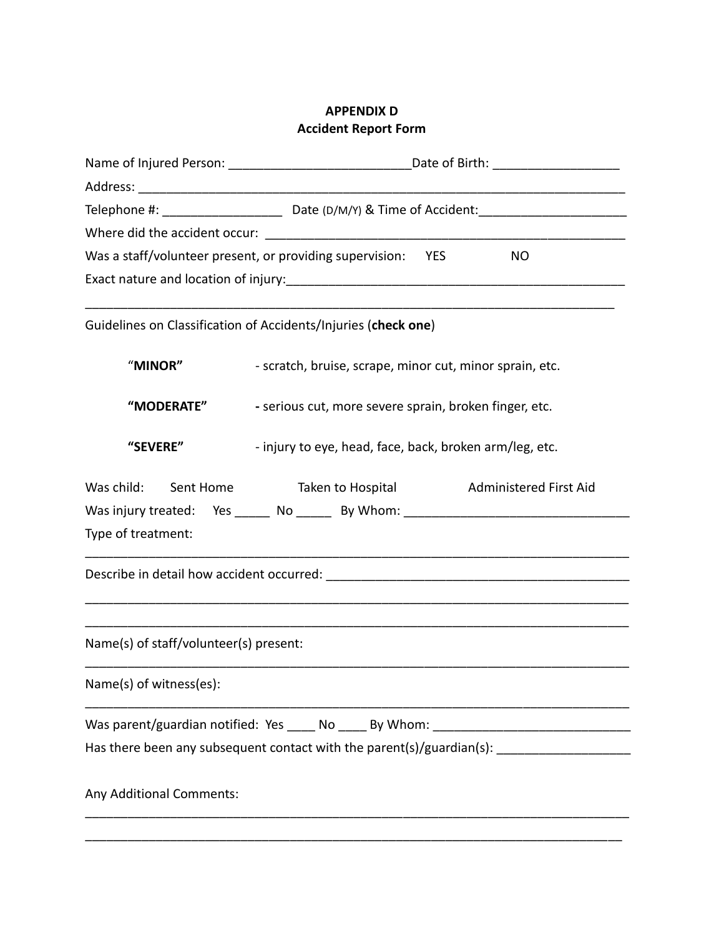### **APPENDIX D Accident Report Form**

|                                        | Telephone #: __________________________________Date (D/M/Y) & Time of Accident: __________________________ |  |  |  |
|----------------------------------------|------------------------------------------------------------------------------------------------------------|--|--|--|
|                                        |                                                                                                            |  |  |  |
|                                        | Was a staff/volunteer present, or providing supervision: YES<br><b>NO</b>                                  |  |  |  |
|                                        |                                                                                                            |  |  |  |
|                                        |                                                                                                            |  |  |  |
|                                        | Guidelines on Classification of Accidents/Injuries (check one)                                             |  |  |  |
| "MINOR"                                | - scratch, bruise, scrape, minor cut, minor sprain, etc.                                                   |  |  |  |
| <b>"MODERATE"</b>                      | - serious cut, more severe sprain, broken finger, etc.                                                     |  |  |  |
| "SEVERE"                               | - injury to eye, head, face, back, broken arm/leg, etc.                                                    |  |  |  |
|                                        | Was child: Sent Home Taken to Hospital Administered First Aid                                              |  |  |  |
|                                        | Was injury treated: Yes ______ No ______ By Whom: ______________________________                           |  |  |  |
| Type of treatment:                     |                                                                                                            |  |  |  |
|                                        |                                                                                                            |  |  |  |
| Name(s) of staff/volunteer(s) present: |                                                                                                            |  |  |  |
|                                        |                                                                                                            |  |  |  |
| Name(s) of witness(es):                |                                                                                                            |  |  |  |
|                                        | Was parent/guardian notified: Yes _____ No _____ By Whom: _______________________                          |  |  |  |
|                                        |                                                                                                            |  |  |  |
| Any Additional Comments:               |                                                                                                            |  |  |  |
|                                        |                                                                                                            |  |  |  |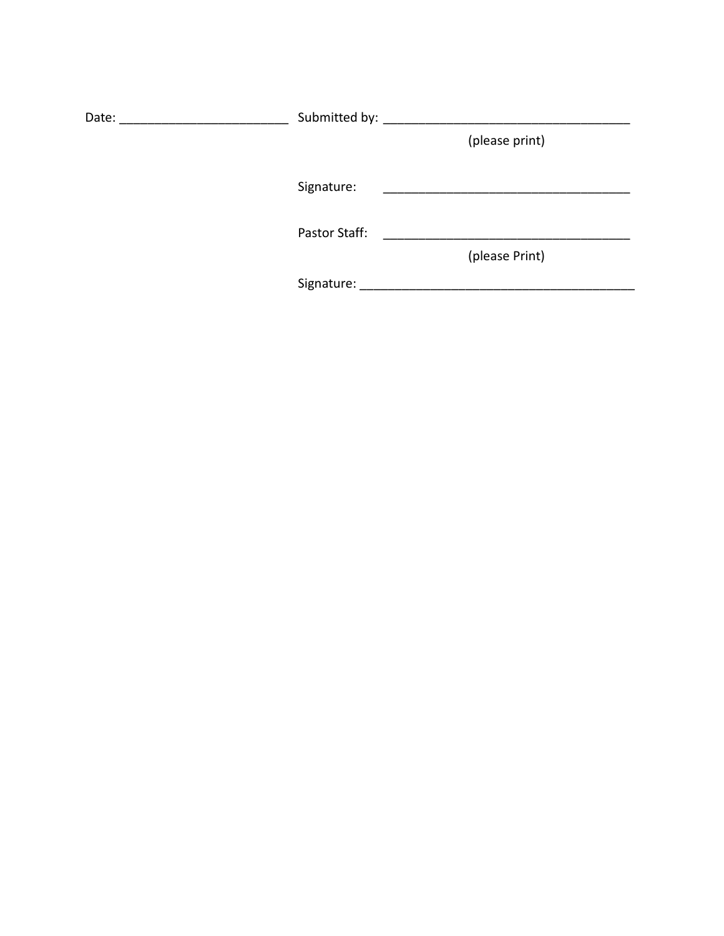| Date: | Submitted by: ____ |                |  |  |
|-------|--------------------|----------------|--|--|
|       |                    | (please print) |  |  |
|       | Signature:         |                |  |  |
|       | Pastor Staff:      |                |  |  |
|       | Signature:         | (please Print) |  |  |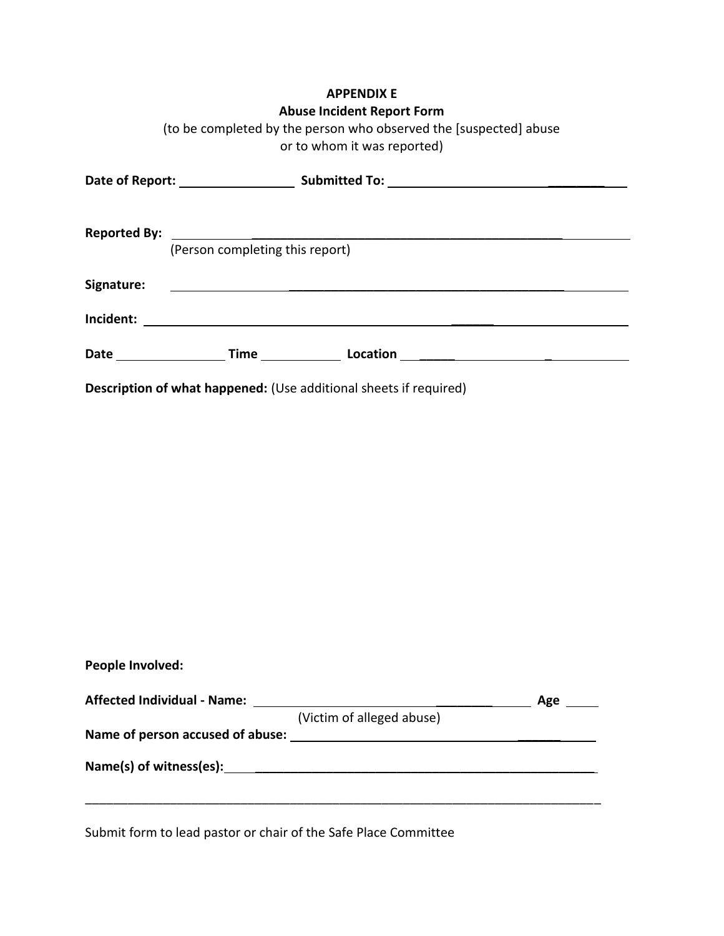# **APPENDIX E**

### **Abuse Incident Report Form**

|                                                                   | (to be completed by the person who observed the [suspected] abuse<br>or to whom it was reported) |  |  |
|-------------------------------------------------------------------|--------------------------------------------------------------------------------------------------|--|--|
|                                                                   |                                                                                                  |  |  |
|                                                                   |                                                                                                  |  |  |
|                                                                   | (Person completing this report)                                                                  |  |  |
| Signature:                                                        | <u> 1989 - Andrea Stationen, Amerikaansk politiker (</u>                                         |  |  |
|                                                                   |                                                                                                  |  |  |
|                                                                   |                                                                                                  |  |  |
| Description of what happened: (Use additional sheets if required) |                                                                                                  |  |  |

| <b>Affected Individual - Name:</b> |                           | Age |
|------------------------------------|---------------------------|-----|
|                                    | (Victim of alleged abuse) |     |
| Name of person accused of abuse:   |                           |     |
| Name(s) of witness(es):            |                           |     |

Submit form to lead pastor or chair of the Safe Place Committee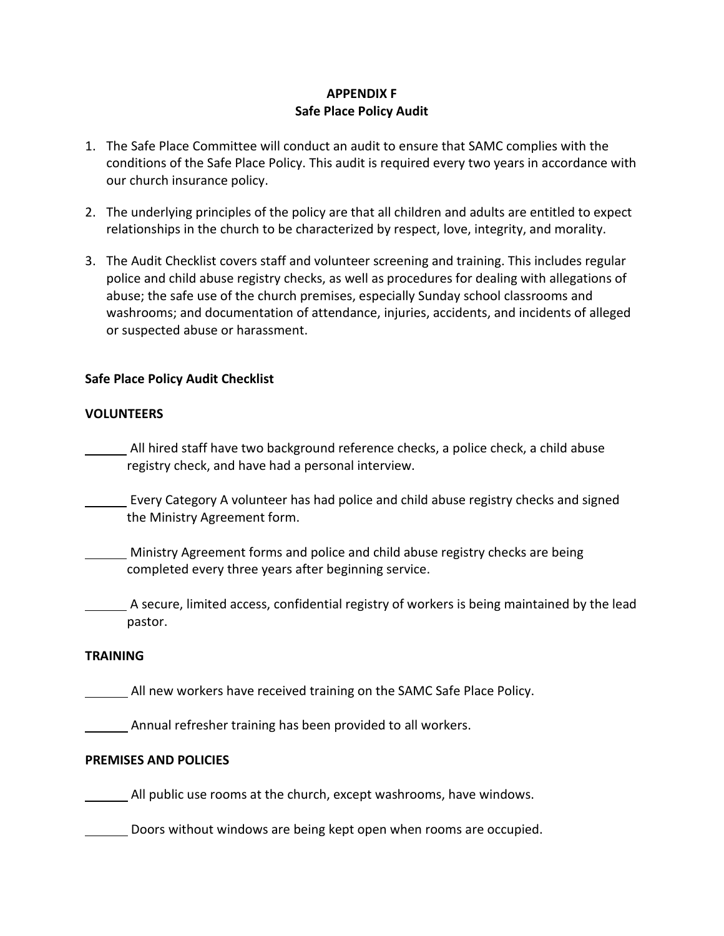# **APPENDIX F Safe Place Policy Audit**

- 1. The Safe Place Committee will conduct an audit to ensure that SAMC complies with the conditions of the Safe Place Policy. This audit is required every two years in accordance with our church insurance policy.
- 2. The underlying principles of the policy are that all children and adults are entitled to expect relationships in the church to be characterized by respect, love, integrity, and morality.
- 3. The Audit Checklist covers staff and volunteer screening and training. This includes regular police and child abuse registry checks, as well as procedures for dealing with allegations of abuse; the safe use of the church premises, especially Sunday school classrooms and washrooms; and documentation of attendance, injuries, accidents, and incidents of alleged or suspected abuse or harassment.

### **Safe Place Policy Audit Checklist**

#### **VOLUNTEERS**

All hired staff have two background reference checks, a police check, a child abuse registry check, and have had a personal interview.

 Every Category A volunteer has had police and child abuse registry checks and signed the Ministry Agreement form.

**Ministry Agreement forms and police and child abuse registry checks are being** completed every three years after beginning service.

 A secure, limited access, confidential registry of workers is being maintained by the lead pastor.

#### **TRAINING**

All new workers have received training on the SAMC Safe Place Policy.

Annual refresher training has been provided to all workers.

#### **PREMISES AND POLICIES**

All public use rooms at the church, except washrooms, have windows.

**Doors without windows are being kept open when rooms are occupied.**